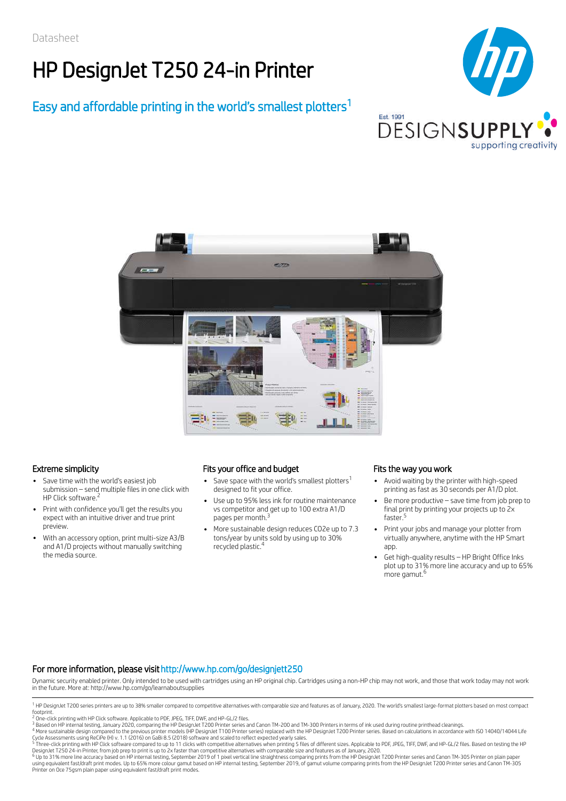# HP DesignJet T250 24-in Printer

## Easy and affordable printing in the world's smallest plotters 1





- Save time with the world's easiest job submission – send multiple files in one click with HP Click software.<sup>2</sup>
- Print with confidence you'll get the results you expect with an intuitive driver and true print preview.
- With an accessory option, print multi-size A3/B and A1/D projects without manually switching the media source.

### Extreme simplicity Fits your office and budget Fits the way you work

- Save space with the world's smallest plotters $^1$ designed to fit your office.
- Use up to 95% less ink for routine maintenance vs competitor and get up to 100 extra A1/D pages per month.<sup>3</sup>
- More sustainable design reduces CO2e up to 7.3 tons/year by units sold by using up to 30% recycled plastic. 4

- Avoid waiting by the printer with high-speed printing as fast as 30 seconds per A1/D plot.
- Be more productive save time from job prep to final print by printing your projects up to 2x faster. 5
- Print your jobs and manage your plotter from virtually anywhere, anytime with the HP Smart app.
- Get high-quality results HP Bright Office Inks plot up to 31% more line accuracy and up to 65% more gamut. 6

### For more information, please visithttp://www.hp.com/go/designjett250

Dynamic security enabled printer. Only intended to be used with cartridges using an HP original chip. Cartridges using a non-HP chip may not work, and those that work today may not work in the future. More at: http://www.hp.com/go/learnaboutsupplies

DesignJet T250 24-in Printer, from job prep to print is up to 2x faster than competitive alternatives with comparable size and features as of January, 2020.<br><sup>6</sup> Up to 31% more line accuracy based on HP internal testing, Se Printer on Oce 75gsm plain paper using equivalent fast/draft print modes.

<sup>&</sup>lt;sup>1</sup> HP DesignJet T200 series printers are up to 38% smaller compared to competitive alternatives with comparable size and features as of January, 2020. The world's smallest large-format plotters based on most compact footprint.

<sup>&</sup>lt;sup>2</sup> One-click printing with HP Click software. Applicable to PDF, JPEG, TIFF, DWF, and HP-GL/2 files.

<sup>&</sup>lt;sup>3</sup> Based on HP internal testing, January 2020, comparing the HP DesignJet T200 Printer series and Canon TM-200 and TM-300 Printers in terms of ink used during routine printhead cleanings.<br><sup>4</sup> More sustainable design compa

Cycle Assessments using ReCiPe (H) v. 1.1 (2016) on GaBi 8.5 (2018) software and scaled to reflect expected yearly sales.<br><sup>5</sup> Three-click printing with HP Click software compared to up to 11 clicks with competitive alterna